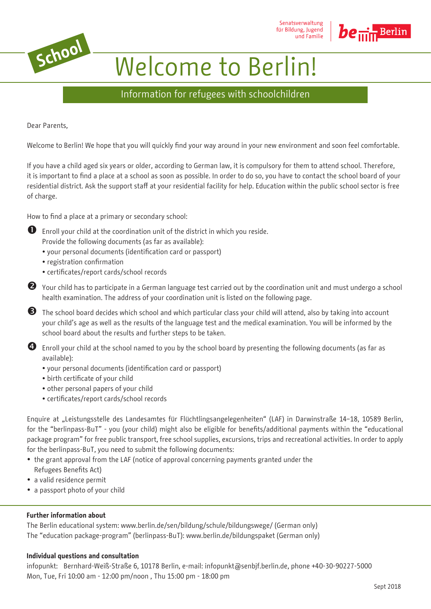

Senatsverwaltung für Bildung, Jugend und Familie



# Welcome to Berlin!

### Information for refugees with schoolchildren

Dear Parents,

Welcome to Berlin! We hope that you will quickly find your way around in your new environment and soon feel comfortable.

If you have a child aged six years or older, according to German law, it is compulsory for them to attend school. Therefore, it is important to find a place at a school as soon as possible. In order to do so, you have to contact the school board of your residential district. Ask the support staff at your residential facility for help. Education within the public school sector is free of charge.

How to find a place at a primary or secondary school:

- Enroll your child at the coordination unit of the district in which you reside.
	- Provide the following documents (as far as available):
	- your personal documents (identification card or passport)
	- registration confirmation
	- certificates/report cards/school records
- Your child has to participate in a German language test carried out by the coordination unit and must undergo a school health examination. The address of your coordination unit is listed on the following page.
- The school board decides which school and which particular class your child will attend, also by taking into account your child's age as well as the results of the language test and the medical examination. You will be informed by the school board about the results and further steps to be taken.

 Enroll your child at the school named to you by the school board by presenting the following documents (as far as available):

- your personal documents (identification card or passport)
- birth certificate of your child
- other personal papers of your child
- certificates/report cards/school records

Enquire at "Leistungsstelle des Landesamtes für Flüchtlingsangelegenheiten" (LAF) in Darwinstraße 14-18, 10589 Berlin, for the "berlinpass-BuT" - you (your child) might also be eligible for benefits/additional payments within the "educational package program" for free public transport, free school supplies, excursions, trips and recreational activities. In order to apply for the berlinpass-BuT, you need to submit the following documents:

- the grant approval from the LAF (notice of approval concerning payments granted under the Refugees Benefits Act)
- a valid residence permit
- a passport photo of your child

#### **Further information about**

The Berlin educational system: www.berlin.de/sen/bildung/schule/bildungswege/ (German only) The "education package-program" (berlinpass-BuT): www.berlin.de/bildungspaket (German only)

#### **Individual questions and consultation**

infopunkt: Bernhard-Weiß-Straße 6, 10178 Berlin, e-mail: infopunkt@senbjf.berlin.de, phone +40-30-90227-5000 Mon, Tue, Fri 10:00 am - 12:00 pm/noon , Thu 15:00 pm - 18:00 pm